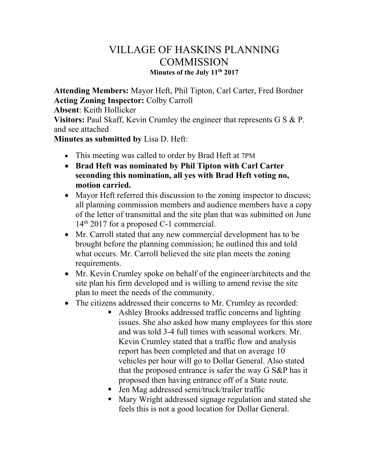## VILLAGE OF HASKINS PLANNING **COMMISSION Minutes of the July 11th 2017**

**Attending Members:** Mayor Heft, Phil Tipton, Carl Carter, Fred Bordner **Acting Zoning Inspector:** Colby Carroll

**Absent**: Keith Hollicker

**Visitors:** Paul Skaff, Kevin Crumley the engineer that represents G S & P. and see attached

**Minutes as submitted by** Lisa D. Heft:

- This meeting was called to order by Brad Heft at 7PM
- **Brad Heft was nominated by Phil Tipton with Carl Carter seconding this nomination, all yes with Brad Heft voting no, motion carried.**
- Mayor Heft referred this discussion to the zoning inspector to discuss; all planning commission members and audience members have a copy of the letter of transmittal and the site plan that was submitted on June 14th 2017 for a proposed C-1 commercial.
- Mr. Carroll stated that any new commercial development has to be brought before the planning commission; he outlined this and told what occurs. Mr. Carroll believed the site plan meets the zoning requirements.
- Mr. Kevin Crumley spoke on behalf of the engineer/architects and the site plan his firm developed and is willing to amend revise the site plan to meet the needs of the community.
- The citizens addressed their concerns to Mr. Crumley as recorded:
	- Ashley Brooks addressed traffic concerns and lighting issues. She also asked how many employees for this store and was told 3-4 full times with seasonal workers. Mr. Kevin Crumley stated that a traffic flow and analysis report has been completed and that on average 10 vehicles per hour will go to Dollar General. Also stated that the proposed entrance is safer the way G S&P has it proposed then having entrance off of a State route.
	- Jen Mag addressed semi/truck/trailer traffic
	- **Mary Wright addressed signage regulation and stated she** feels this is not a good location for Dollar General.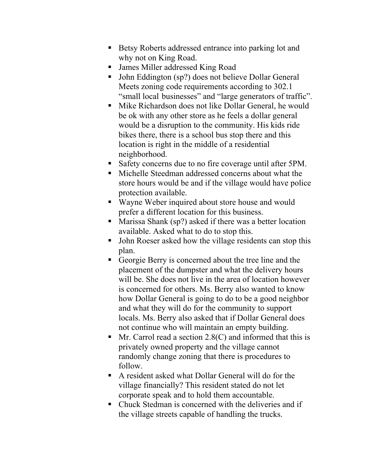- Betsy Roberts addressed entrance into parking lot and why not on King Road.
- James Miller addressed King Road
- John Eddington (sp?) does not believe Dollar General Meets zoning code requirements according to 302.1 "small local businesses" and "large generators of traffic".
- Mike Richardson does not like Dollar General, he would be ok with any other store as he feels a dollar general would be a disruption to the community. His kids ride bikes there, there is a school bus stop there and this location is right in the middle of a residential neighborhood.
- Safety concerns due to no fire coverage until after 5PM.
- Michelle Steedman addressed concerns about what the store hours would be and if the village would have police protection available.
- Wayne Weber inquired about store house and would prefer a different location for this business.
- Marissa Shank (sp?) asked if there was a better location available. Asked what to do to stop this.
- John Roeser asked how the village residents can stop this plan.
- Georgie Berry is concerned about the tree line and the placement of the dumpster and what the delivery hours will be. She does not live in the area of location however is concerned for others. Ms. Berry also wanted to know how Dollar General is going to do to be a good neighbor and what they will do for the community to support locals. Ms. Berry also asked that if Dollar General does not continue who will maintain an empty building.
- $\blacksquare$  Mr. Carrol read a section 2.8(C) and informed that this is privately owned property and the village cannot randomly change zoning that there is procedures to follow.
- A resident asked what Dollar General will do for the village financially? This resident stated do not let corporate speak and to hold them accountable.
- Chuck Stedman is concerned with the deliveries and if the village streets capable of handling the trucks.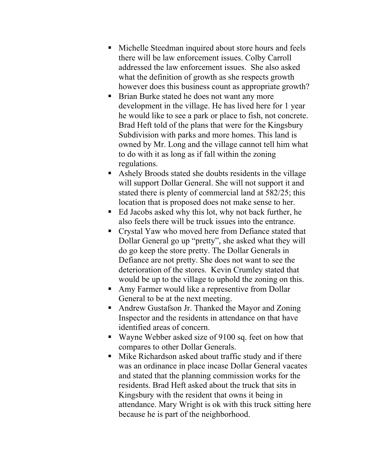- Michelle Steedman inquired about store hours and feels there will be law enforcement issues. Colby Carroll addressed the law enforcement issues. She also asked what the definition of growth as she respects growth however does this business count as appropriate growth?
- **Brian Burke stated he does not want any more** development in the village. He has lived here for 1 year he would like to see a park or place to fish, not concrete. Brad Heft told of the plans that were for the Kingsbury Subdivision with parks and more homes. This land is owned by Mr. Long and the village cannot tell him what to do with it as long as if fall within the zoning regulations.
- Ashely Broods stated she doubts residents in the village will support Dollar General. She will not support it and stated there is plenty of commercial land at 582/25; this location that is proposed does not make sense to her.
- Ed Jacobs asked why this lot, why not back further, he also feels there will be truck issues into the entrance.
- Crystal Yaw who moved here from Defiance stated that Dollar General go up "pretty", she asked what they will do go keep the store pretty. The Dollar Generals in Defiance are not pretty. She does not want to see the deterioration of the stores. Kevin Crumley stated that would be up to the village to uphold the zoning on this.
- Amy Farmer would like a representive from Dollar General to be at the next meeting.
- Andrew Gustafson Jr. Thanked the Mayor and Zoning Inspector and the residents in attendance on that have identified areas of concern.
- Wayne Webber asked size of 9100 sq. feet on how that compares to other Dollar Generals.
- Mike Richardson asked about traffic study and if there was an ordinance in place incase Dollar General vacates and stated that the planning commission works for the residents. Brad Heft asked about the truck that sits in Kingsbury with the resident that owns it being in attendance. Mary Wright is ok with this truck sitting here because he is part of the neighborhood.